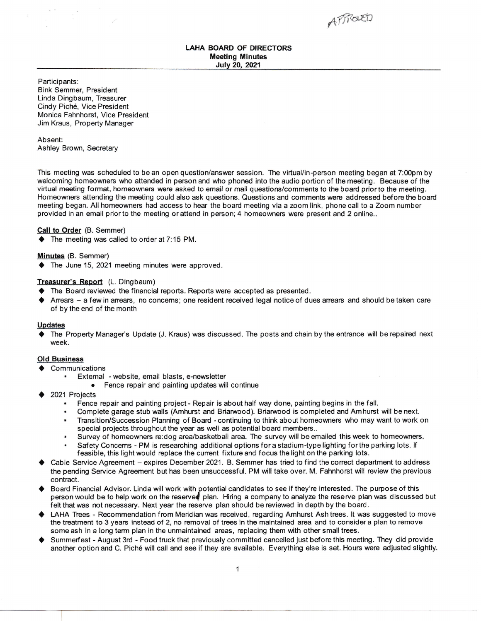APROUED

# LAHA BOARD OF DIRECTORS Meeting Minutes Julv 2O, 2021

Participants: Bink Semmer, President Linda Dingbaum, Treasurer Cindy Pich6, Vice President Monica Fahnhorst, Vice President Jim Kraus, Property Manager

Absent: Ashley Brown, Secretary

This meeting was scheduled to be an open question/answer session. The virtual/in-person meeting began at 7:00pm by welcoming homeowners who attended in person and who phoned into the audio portion of the meeting. Because of the virtual meeting format, homeowners were asked to email or mail questions/comments to the board prior to the meeting. Homeowners attending the meeting could also ask questions. Questions and comments were addressed before the board meeting began. All homeowners had access to hear the board meeting via a zoom link, phonecall to a Zoom number provided in an email prior to the meeting or attend in person; 4 homeowners were present and 2 online..

# Call to Order (B. Semmer)

◆ The meeting was called to order at 7:15 PM.

# Minutes (8. Semmer)

 $\blacklozenge$  The June 15, 2021 meeting minutes were approved.

# Treasurer's Report (L. Dingbaum)

- $\blacklozenge$  The Board reviewed the financial reports. Reports were accepted as presented.
- $\blacklozenge$  Arrears  $-$  a few in arrears, no concerns; one resident received legal notice of dues arrears and should be taken care of by the end of the month

### Updates

The Property Manager's Update (J. Kraus) was discussed. The posts and chain by the entrance will be repaired next week.

### Old Business

- $\triangle$  Communications
	- . Extemal website, email blasts, e-newsletter
		- Fence repair and painting updates will continue
- 2021 Projects
	- . Fence repair and painting project Repair is about half way done, painting begins in the fall.
	- . Complete garage stub walls (Amhurst and Briaruvood). Briarwood is completed and Am hurst will be next.
	- . Transition/Succession Planning of Board continuing to think about homeowners who may want to work on special projects throughout the year as well as potential board members..
	- . Survey of homeowners re:dog arealbasketball area. The survey will be emailed this week to homeowners.
	- Safety Concems PM is researching additional options for a stadium-type lighting for the parking lots. If feasible, this light would replace the current fixture and focus the light on the parking lots.
- Cable Service Agreement expires December 2021. B. Semmer has tried to find the correct department to address the pending Service Agreement but has been unsuccessful. PM will take over. M. Fahnhorst will review the previous contract.
- ◆ Board Financial Advisor. Linda will work with potential candidates to see if they're interested. The purpose of this person would be to help work on the reserved plan. Hiring a company to analyze the reserve plan was discussed but felt that was not necessary. Next year the reserve plan should be reviewed in depth by the board.
- ♦ LAHA Trees Recommendation from Meridian was received, regarding Amhurst Ashtrees. It was suggested to move the treatrnent to 3 years instead of 2, no removal of trees in the maintained area and to considera plan to remove some ash in a long term plan in the unmaintained areas, replacing them with other small trees.
- Summerfest August 3rd Food truck that previously committed cancelled just before this meeting. They did provide another option and C. Piche will call and see if they are available. Everything else is set. Hours were adjusted slightly.